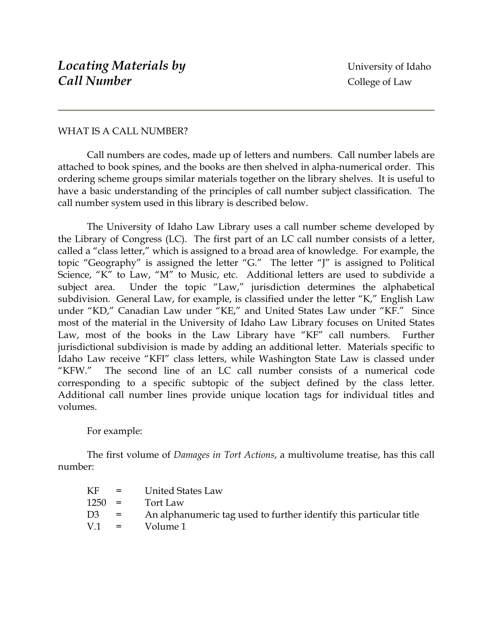## WHAT IS A CALL NUMBER?

Call numbers are codes, made up of letters and numbers. Call number labels are attached to book spines, and the books are then shelved in alpha-numerical order. This ordering scheme groups similar materials together on the library shelves. It is useful to have a basic understanding of the principles of call number subject classification. The call number system used in this library is described below.

The University of Idaho Law Library uses a call number scheme developed by the Library of Congress (LC). The first part of an LC call number consists of a letter, called a "class letter," which is assigned to a broad area of knowledge. For example, the topic "Geography" is assigned the letter "G." The letter "J" is assigned to Political Science, "K" to Law, "M" to Music, etc. Additional letters are used to subdivide a subject area. Under the topic "Law," jurisdiction determines the alphabetical subdivision. General Law, for example, is classified under the letter "K," English Law under "KD," Canadian Law under "KE," and United States Law under "KF." Since most of the material in the University of Idaho Law Library focuses on United States Law, most of the books in the Law Library have "KF" call numbers. Further jurisdictional subdivision is made by adding an additional letter. Materials specific to Idaho Law receive "KFI" class letters, while Washington State Law is classed under "KFW." The second line of an LC call number consists of a numerical code corresponding to a specific subtopic of the subject defined by the class letter. Additional call number lines provide unique location tags for individual titles and volumes.

## For example:

The first volume of *Damages in Tort Actions*, a multivolume treatise, has this call number:

| KF.            | $=$ | United States Law                                                  |
|----------------|-----|--------------------------------------------------------------------|
| $1250 =$       |     | Tort Law                                                           |
| D <sub>3</sub> | $=$ | An alphanumeric tag used to further identify this particular title |
| $V1 =$         |     | Volume 1                                                           |
|                |     |                                                                    |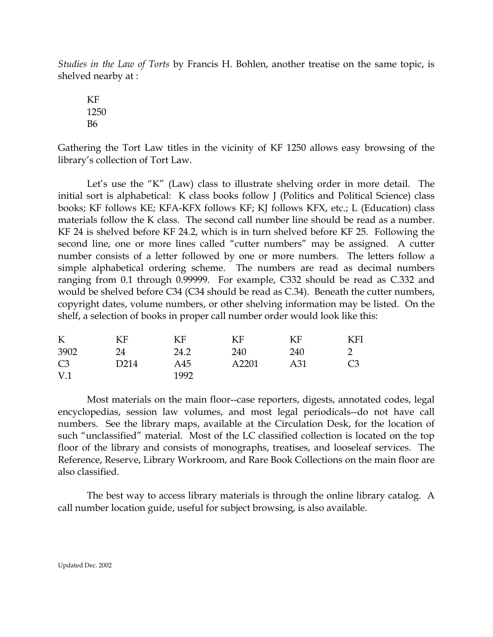*Studies in the Law of Torts* by Francis H. Bohlen, another treatise on the same topic, is shelved nearby at :

 KF 1250 B6

Gathering the Tort Law titles in the vicinity of KF 1250 allows easy browsing of the library's collection of Tort Law.

Let's use the "K" (Law) class to illustrate shelving order in more detail. The initial sort is alphabetical: K class books follow J (Politics and Political Science) class books; KF follows KE; KFA-KFX follows KF; KJ follows KFX, etc.; L (Education) class materials follow the K class. The second call number line should be read as a number. KF 24 is shelved before KF 24.2, which is in turn shelved before KF 25. Following the second line, one or more lines called "cutter numbers" may be assigned. A cutter number consists of a letter followed by one or more numbers. The letters follow a simple alphabetical ordering scheme. The numbers are read as decimal numbers ranging from 0.1 through 0.99999. For example, C332 should be read as C.332 and would be shelved before C34 (C34 should be read as C.34). Beneath the cutter numbers, copyright dates, volume numbers, or other shelving information may be listed. On the shelf, a selection of books in proper call number order would look like this:

| K               | ΚF   | KF   | KF    | KF  | KFI            |
|-----------------|------|------|-------|-----|----------------|
| 3902            | 24   | 24.2 | 240   | 240 |                |
| C <sub>3</sub>  | D214 | A45  | A2201 | A31 | C <sub>3</sub> |
| V <sub>.1</sub> |      | 1992 |       |     |                |

 Most materials on the main floor--case reporters, digests, annotated codes, legal encyclopedias, session law volumes, and most legal periodicals--do not have call numbers. See the library maps, available at the Circulation Desk, for the location of such "unclassified" material. Most of the LC classified collection is located on the top floor of the library and consists of monographs, treatises, and looseleaf services. The Reference, Reserve, Library Workroom, and Rare Book Collections on the main floor are also classified.

 The best way to access library materials is through the online library catalog. A call number location guide, useful for subject browsing, is also available.